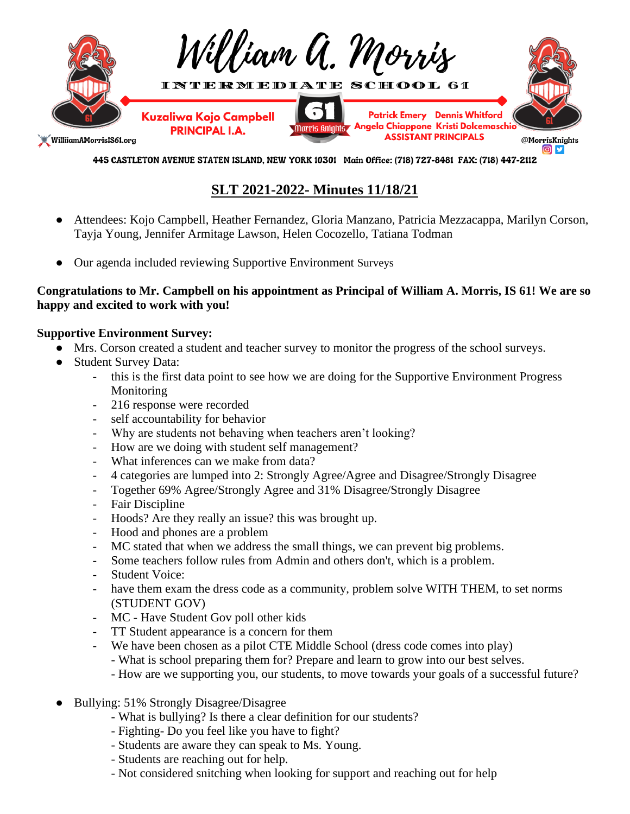

445 CASTLETON AVENUE STATEN ISLAND, NEW YORK 10301 Main Office: (718) 727-8481 FAX: (718) 447-2112

# **SLT 2021-2022- Minutes 11/18/21**

- Attendees: Kojo Campbell, Heather Fernandez, Gloria Manzano, Patricia Mezzacappa, Marilyn Corson, Tayja Young, Jennifer Armitage Lawson, Helen Cocozello, Tatiana Todman
- Our agenda included reviewing Supportive Environment Surveys

## **Congratulations to Mr. Campbell on his appointment as Principal of William A. Morris, IS 61! We are so happy and excited to work with you!**

## **Supportive Environment Survey:**

- Mrs. Corson created a student and teacher survey to monitor the progress of the school surveys.
- Student Survey Data:
	- this is the first data point to see how we are doing for the Supportive Environment Progress Monitoring
	- 216 response were recorded
	- self accountability for behavior
	- Why are students not behaving when teachers aren't looking?
	- How are we doing with student self management?
	- What inferences can we make from data?
	- 4 categories are lumped into 2: Strongly Agree/Agree and Disagree/Strongly Disagree
	- Together 69% Agree/Strongly Agree and 31% Disagree/Strongly Disagree
	- Fair Discipline
	- Hoods? Are they really an issue? this was brought up.
	- Hood and phones are a problem
	- MC stated that when we address the small things, we can prevent big problems.
	- Some teachers follow rules from Admin and others don't, which is a problem.
	- Student Voice:
	- have them exam the dress code as a community, problem solve WITH THEM, to set norms (STUDENT GOV)
	- MC Have Student Gov poll other kids
	- TT Student appearance is a concern for them
	- We have been chosen as a pilot CTE Middle School (dress code comes into play)
		- What is school preparing them for? Prepare and learn to grow into our best selves.
		- How are we supporting you, our students, to move towards your goals of a successful future?
- Bullying: 51% Strongly Disagree/Disagree
	- What is bullying? Is there a clear definition for our students?
	- Fighting- Do you feel like you have to fight?
	- Students are aware they can speak to Ms. Young.
	- Students are reaching out for help.
	- Not considered snitching when looking for support and reaching out for help